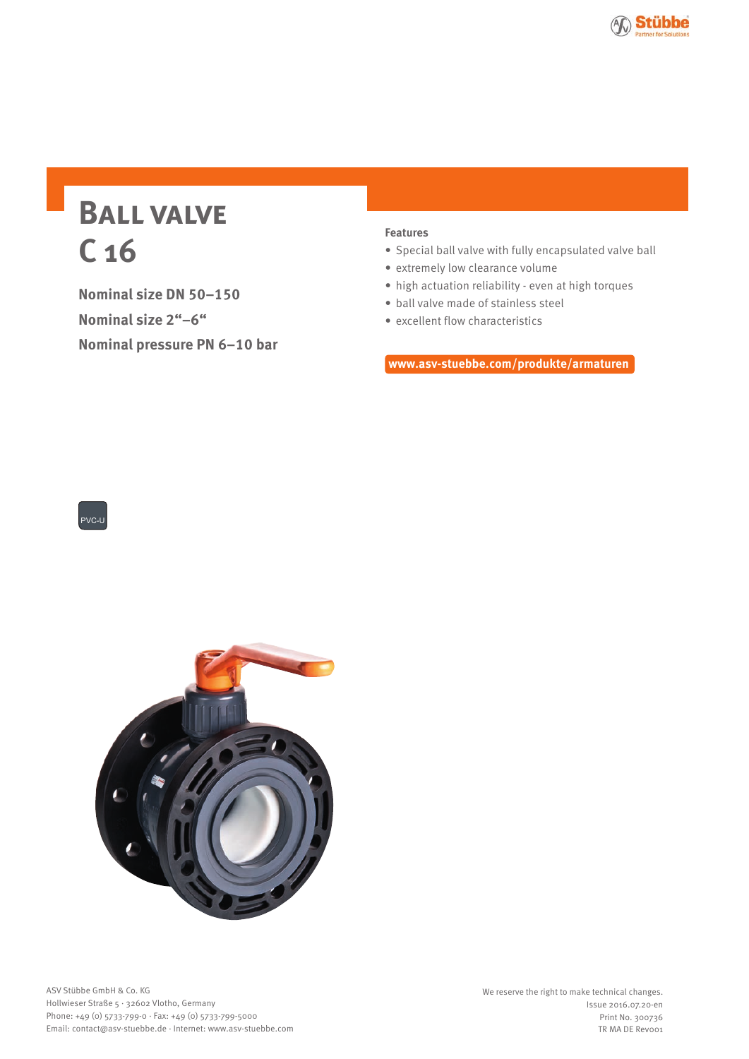

# **Ball valve C 16**

**Nominal size DN 50–150 Nominal size 2"–6" Nominal pressure PN 6–10 bar**

## **Features**

- Special ball valve with fully encapsulated valve ball
- extremely low clearance volume
- high actuation reliability even at high torques
- ball valve made of stainless steel
- excellent flow characteristics

**www.asv-stuebbe.com/produkte/armaturen**



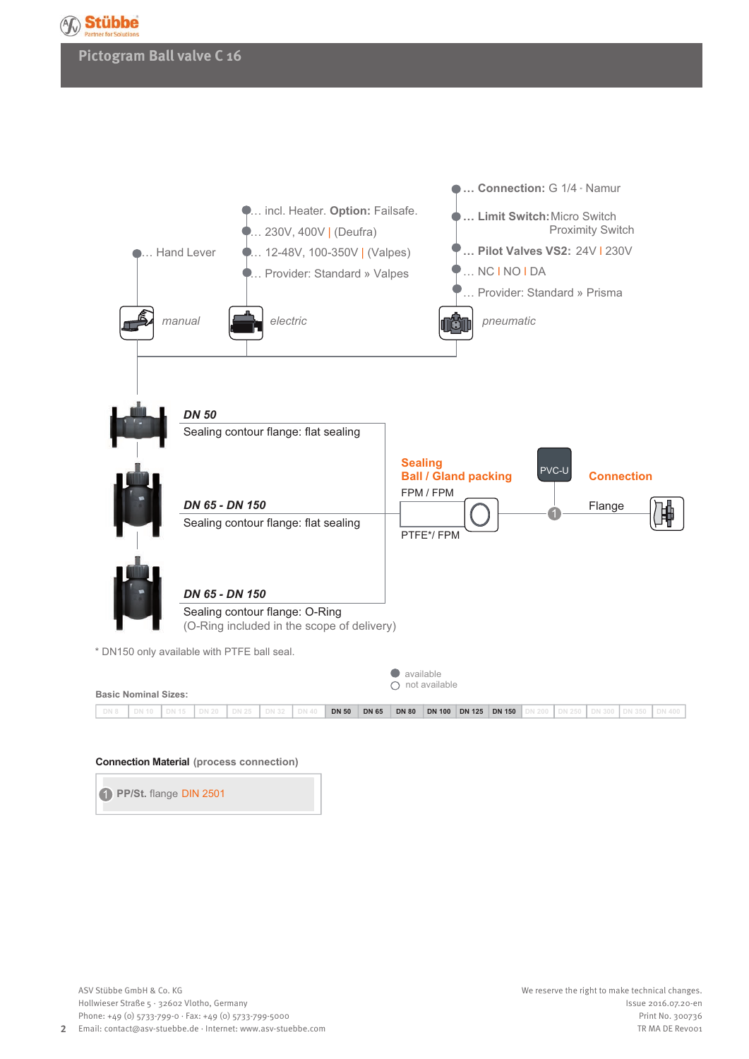

## **Pictogram Ball valve C 16**



#### **Connection Material (process connection)**

**PP/St.** flange DIN 2501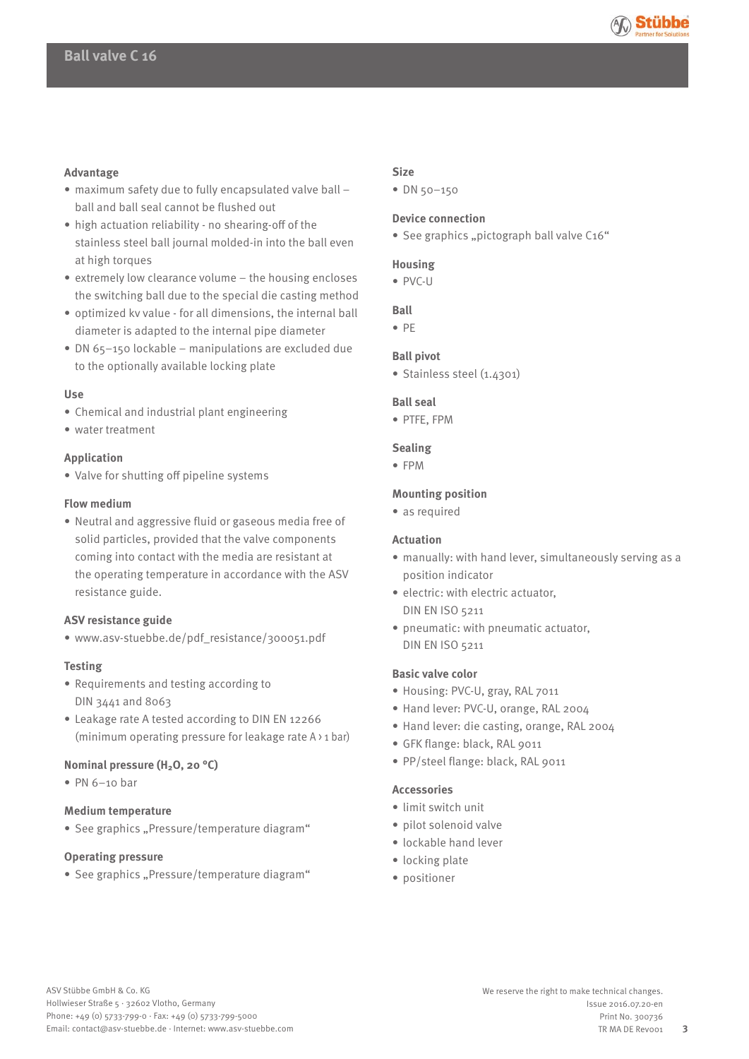

## **Advantage**

- maximum safety due to fully encapsulated valve ball ball and ball seal cannot be flushed out
- high actuation reliability no shearing-off of the stainless steel ball journal molded-in into the ball even at high torques
- extremely low clearance volume the housing encloses the switching ball due to the special die casting method
- optimized kv value for all dimensions, the internal ball diameter is adapted to the internal pipe diameter
- DN 65–150 lockable manipulations are excluded due to the optionally available locking plate

#### **Use**

- Chemical and industrial plant engineering
- water treatment

#### **Application**

• Valve for shutting off pipeline systems

#### **Flow medium**

 • Neutral and aggressive fluid or gaseous media free of solid particles, provided that the valve components coming into contact with the media are resistant at the operating temperature in accordance with the ASV resistance guide.

#### **ASV resistance guide**

• www.asv-stuebbe.de/pdf\_resistance/300051.pdf

#### **Testing**

- Requirements and testing according to DIN 3441 and 8063
- Leakage rate A tested according to DIN EN 12266 (minimum operating pressure for leakage rate A > 1 bar)

## **Nominal pressure (H2O, 20 °C)**

 $\bullet$  PN 6-10 bar

## **Medium temperature**

• See graphics "Pressure/temperature diagram"

#### **Operating pressure**

• See graphics "Pressure/temperature diagram"

## **Size**

• DN 50–150

## **Device connection**

• See graphics "pictograph ball valve C16"

## **Housing**

• PVC-U

## **Ball**

• PE

#### **Ball pivot**

• Stainless steel (1.4301)

#### **Ball seal**

• PTFE, FPM

#### **Sealing**

• FPM

#### **Mounting position**

• as required

## **Actuation**

- manually: with hand lever, simultaneously serving as a position indicator
- electric: with electric actuator, DIN EN ISO 5211
- pneumatic: with pneumatic actuator, DIN EN ISO 5211

#### **Basic valve color**

- Housing: PVC-U, gray, RAL 7011
- Hand lever: PVC-U, orange, RAL 2004
- Hand lever: die casting, orange, RAL 2004
- GFK flange: black, RAL 9011
- PP/steel flange: black, RAL 9011

## **Accessories**

- limit switch unit
- pilot solenoid valve
- lockable hand lever
- locking plate
- positioner

**3**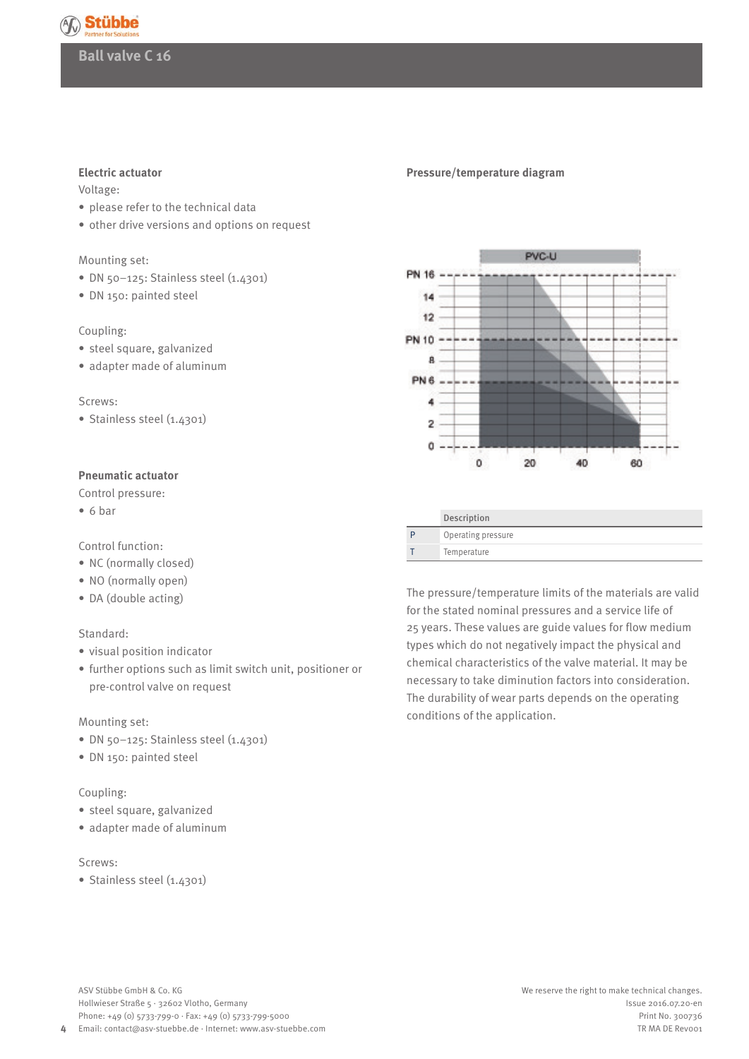

#### **Electric actuator**

Voltage:

- please refer to the technical data
- other drive versions and options on request

#### Mounting set:

- DN 50-125: Stainless steel (1.4301)
- DN 150: painted steel

## Coupling:

- steel square, galvanized
- adapter made of aluminum

#### Screws:

• Stainless steel (1.4301)

#### **Pneumatic actuator**

Control pressure:

• 6 bar

Control function:

- NC (normally closed)
- NO (normally open)
- DA (double acting)

## Standard:

- visual position indicator
- further options such as limit switch unit, positioner or pre-control valve on request

## Mounting set:

- DN 50-125: Stainless steel (1.4301)
- DN 150: painted steel

## Coupling:

- steel square, galvanized
- adapter made of aluminum

## Screws:

• Stainless steel (1.4301)

#### **Pressure/temperature diagram**



|   | Operating pressure |
|---|--------------------|
| T | Temperature        |
|   |                    |
|   |                    |

The pressure/temperature limits of the materials are valid for the stated nominal pressures and a service life of 25 years. These values are guide values for flow medium types which do not negatively impact the physical and chemical characteristics of the valve material. It may be necessary to take diminution factors into consideration. The durability of wear parts depends on the operating conditions of the application.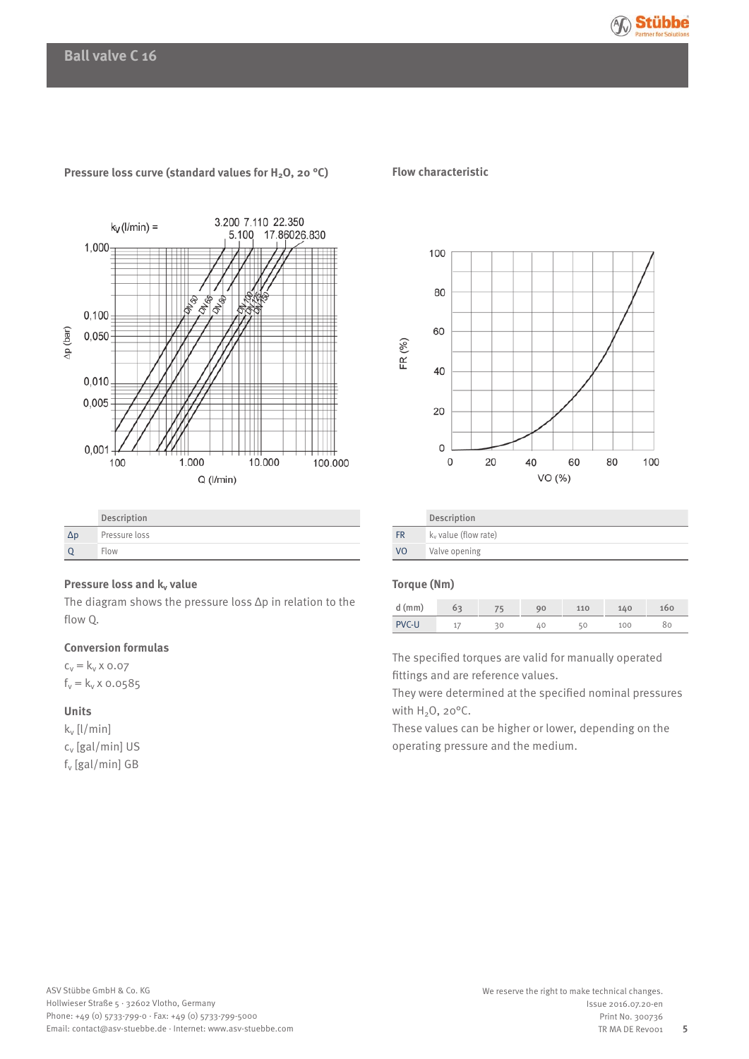



### **Pressure loss curve (standard values for H2O, 20 °C)**

|            | Description   |
|------------|---------------|
| $\Delta p$ | Pressure loss |
|            | Flow          |

## **Pressure loss and k<sub>v</sub> value**

The diagram shows the pressure loss Δp in relation to the flow Q.

## **Conversion formulas**

 $c_v = k_v \times 0.07$  $f_v = k_v \times 0.0585$ 

## **Units**

kv [l/min] cv [gal/min] US fv [gal/min] GB

### **Flow characteristic**



|                | Description             |
|----------------|-------------------------|
| <b>FR</b>      | $k_v$ value (flow rate) |
| V <sub>O</sub> | Valve opening           |

## **Torque (Nm)**

| $d$ (mm)     | 63 | 90 | 110 | 140 | 100 |
|--------------|----|----|-----|-----|-----|
| <b>PVC-U</b> | ÷  |    | 50  | 100 |     |

The specified torques are valid for manually operated fittings and are reference values.

They were determined at the specified nominal pressures with  $H_2O$ , 20 $^{\circ}$ C.

These values can be higher or lower, depending on the operating pressure and the medium.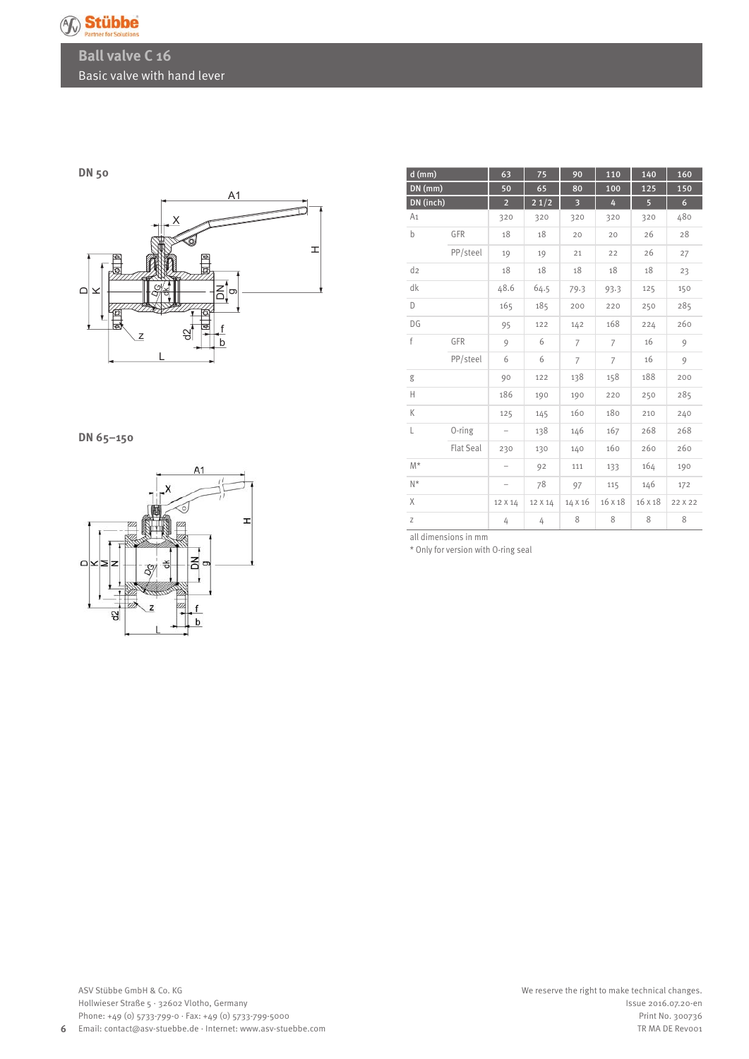

## **Ball valve C 16** Basic valve with hand lever

## **DN 50**



## **DN 65–150**



| $d$ (mm)       |                  | 63                       | 75      | 90                      | 110            | 140            | 160             |
|----------------|------------------|--------------------------|---------|-------------------------|----------------|----------------|-----------------|
| $DN$ (mm)      |                  | 50                       | 65      | 80                      | 100            | 125            | 150             |
| DN (inch)      |                  | $\overline{2}$           | 21/2    | $\overline{\mathbf{3}}$ | 4              | $\overline{5}$ | $6\phantom{.}6$ |
| A <sub>1</sub> |                  | 320                      | 320     | 320                     | 320            | 320            | 480             |
| b              | GFR              | 18                       | 18      | 20                      | 20             | 26             | 28              |
|                | PP/steel         | 19                       | 19      | 21                      | 22             | 26             | 27              |
| d <sub>2</sub> |                  | 18                       | 18      | 18                      | 18             | 18             | 23              |
| dk             |                  | 48.6                     | 64.5    | 79.3                    | 93.3           | 125            | 150             |
| D              |                  | 165                      | 185     | 200                     | 220            | 250            | 285             |
| DG             |                  | 95                       | 122     | 142                     | 168            | 224            | 260             |
| f              | GFR              | 9                        | 6       | 7                       | 7              | 16             | 9               |
|                | PP/steel         | 6                        | 6       | $\overline{7}$          | $\overline{7}$ | 16             | 9               |
| g              |                  | 90                       | 122     | 138                     | 158            | 188            | 200             |
| Н              |                  | 186                      | 190     | 190                     | 220            | 250            | 285             |
| K              |                  | 125                      | 145     | 160                     | 180            | 210            | 240             |
| L              | 0-ring           | $\overline{\phantom{m}}$ | 138     | 146                     | 167            | 268            | 268             |
|                | <b>Flat Seal</b> | 230                      | 130     | 140                     | 160            | 260            | 260             |
| $M^*$          |                  |                          | 92      | 111                     | 133            | 164            | 190             |
| $N^*$          |                  | $\overline{a}$           | 78      | 97                      | 115            | 146            | 172             |
| $\chi$         |                  | 12 X 14                  | 12 X 14 | 14 X 16                 | 16 X 18        | 16 X 18        | 22 X 22         |
| Z              |                  | 4                        | 4       | 8                       | 8              | 8              | 8               |

all dimensions in mm

\* Only for version with O-ring seal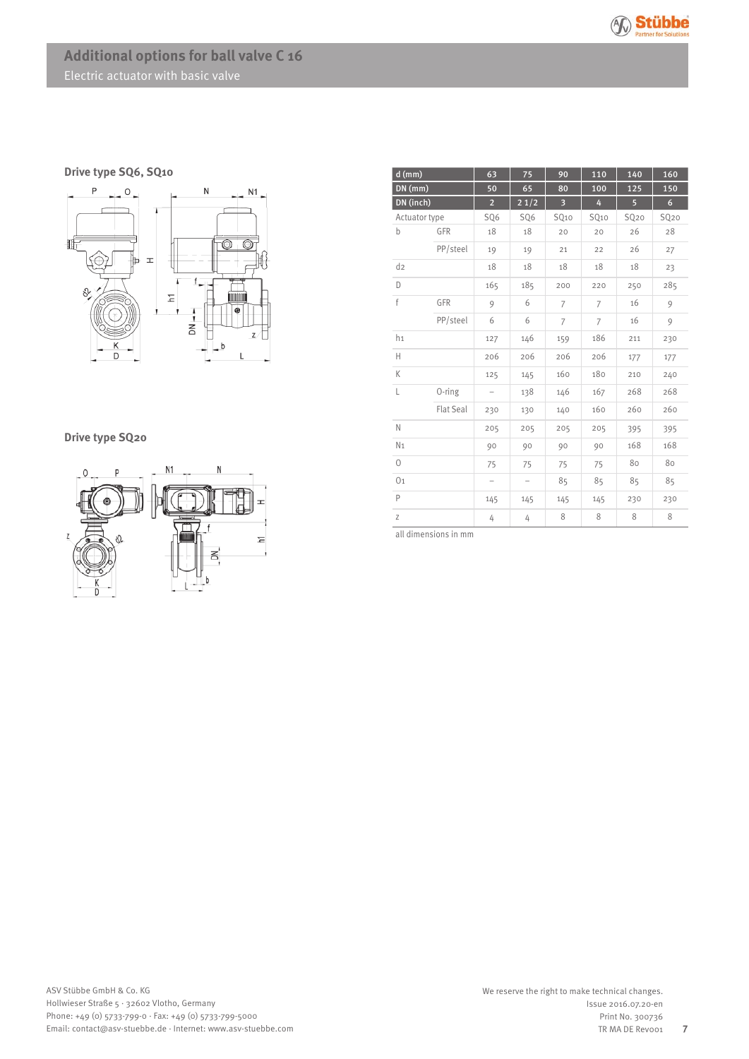

**Drive type SQ6, SQ10**



## **Drive type SQ20**



| $d$ (mm)       |                  | 63                       | 75                | 90                      | 110              | 140              | 160              |
|----------------|------------------|--------------------------|-------------------|-------------------------|------------------|------------------|------------------|
| $DN$ (mm)      |                  | 50                       | 65                | 80                      | 100              | 125              | 150              |
| DN (inch)      |                  | $\overline{2}$           | 21/2              | $\overline{\mathbf{3}}$ | 4                | 5 <sup>1</sup>   | 6 <sup>1</sup>   |
| Actuator type  |                  | SQ6                      | SQ6               | SQ <sub>10</sub>        | SQ <sub>10</sub> | SQ <sub>20</sub> | SQ <sub>20</sub> |
| b              | GFR              | 18                       | 18                | 20                      | 20               | 26               | 28               |
|                | PP/steel         | 19                       | 19                | 21                      | 22               | 26               | 27               |
| d <sub>2</sub> |                  | 18                       | 18                | 18                      | 18               | 18               | 23               |
| D              |                  | 165                      | 185               | 200                     | 220              | 250              | 285              |
| f              | GFR              | 9                        | 6                 | 7                       | 7                | 16               | 9                |
|                | PP/steel         | 6                        | 6                 | $\overline{7}$          | $\overline{7}$   | 16               | 9                |
| h <sub>1</sub> |                  | 127                      | 146               | 159                     | 186              | 211              | 230              |
| Н              |                  | 206                      | 206               | 206                     | 206              | 177              | 177              |
| K              |                  | 125                      | 145               | 160                     | 180              | 210              | 240              |
| L              | 0-ring           | $\overline{a}$           | 138               | 146                     | 167              | 268              | 268              |
|                | <b>Flat Seal</b> | 230                      | 130               | 140                     | 160              | 260              | 260              |
| N              |                  | 205                      | 205               | 205                     | 205              | 395              | 395              |
| N <sub>1</sub> |                  | 90                       | 90                | 90                      | 90               | 168              | 168              |
| $\circ$        |                  | 75                       | 75                | 75                      | 75               | 80               | 80               |
| 0 <sub>1</sub> |                  | $\overline{\phantom{0}}$ | $\qquad \qquad -$ | 85                      | 85               | 85               | 85               |
| P              |                  | 145                      | 145               | 145                     | 145              | 230              | 230              |
| Z              |                  | 4                        | 4                 | 8                       | 8                | 8                | 8                |

all dimensions in mm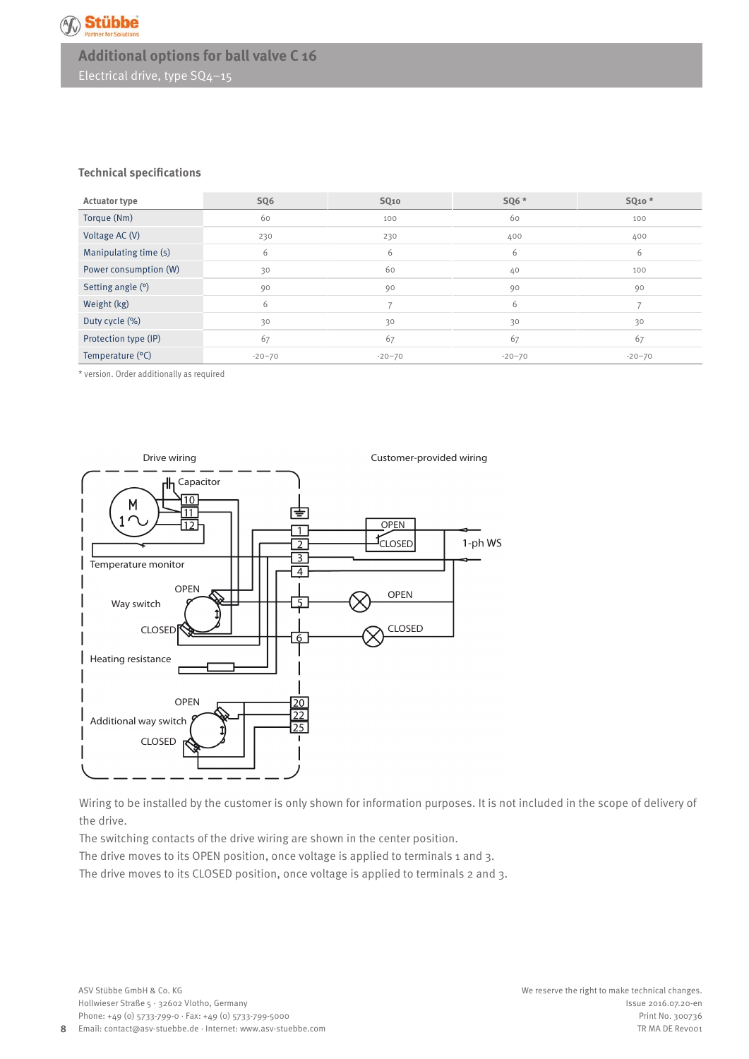

# **Additional options for ball valve C 16** Electrical drive, type SQ4–15

### **Technical specifications**

| <b>Actuator type</b>  | SQ6        | SQ <sub>10</sub> | SQ6 *    | SQ <sub>10</sub> * |
|-----------------------|------------|------------------|----------|--------------------|
| Torque (Nm)           | 60         | 100              | 60       | 100                |
| Voltage AC (V)        | 230        | 230              | 400      | 400                |
| Manipulating time (s) | 6          | 6                | 6        | 6                  |
| Power consumption (W) | 30         | 60               | 40       | 100                |
| Setting angle (°)     | 90         | 90               | 90       | 90                 |
| Weight (kg)           | 6          |                  | 6        |                    |
| Duty cycle (%)        | 30         | 30               | 30       | 30                 |
| Protection type (IP)  | 67         | 67               | 67       | 67                 |
| Temperature $(°C)$    | $-20 - 70$ | $-20 - 70$       | $-20-70$ | $-20 - 70$         |

\* version. Order additionally as required



Wiring to be installed by the customer is only shown for information purposes. It is not included in the scope of delivery of the drive.

The switching contacts of the drive wiring are shown in the center position.

The drive moves to its OPEN position, once voltage is applied to terminals 1 and 3.

The drive moves to its CLOSED position, once voltage is applied to terminals 2 and 3.

**8**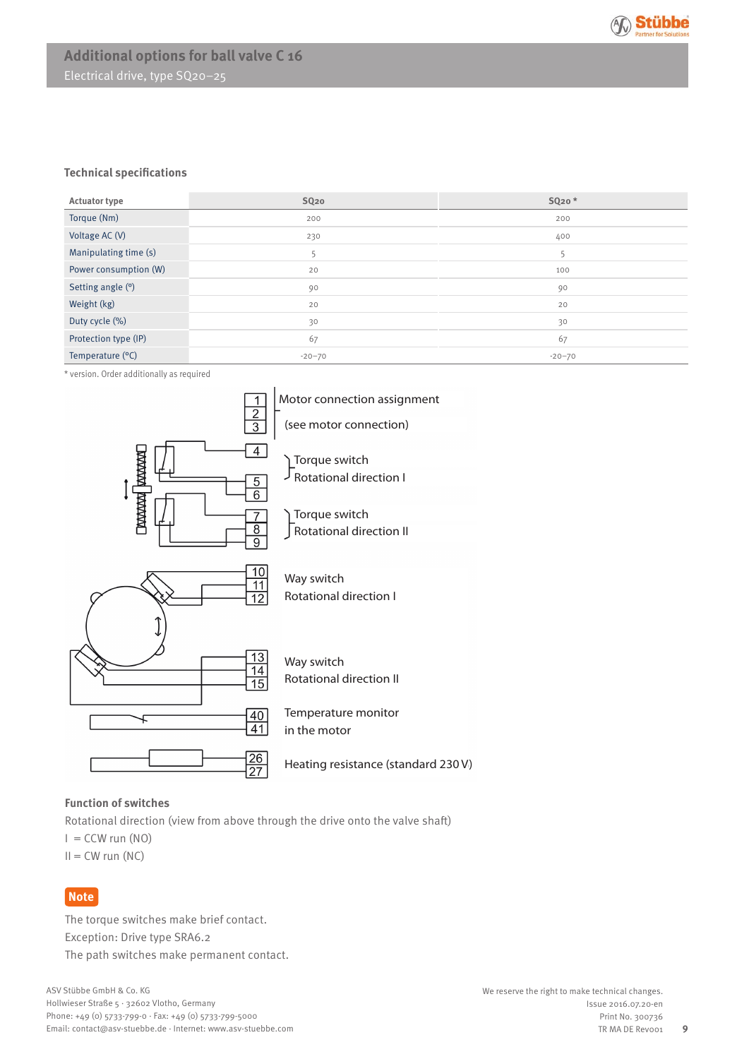

# **Additional options for ball valve C 16** Electrical drive, type SQ20–25

### **Technical specifications**

| <b>Actuator type</b>  | SQ <sub>20</sub> | SQ <sub>20</sub> * |
|-----------------------|------------------|--------------------|
| Torque (Nm)           | 200              | 200                |
| Voltage AC (V)        | 230              | 400                |
| Manipulating time (s) | 5                | כ                  |
| Power consumption (W) | 20               | 100                |
| Setting angle (°)     | 90               | 90                 |
| Weight (kg)           | 20               | 20                 |
| Duty cycle (%)        | 30               | 30                 |
| Protection type (IP)  | 67               | 67                 |
| Temperature (°C)      | $-20 - 70$       | $-20-70$           |

\* version. Order additionally as required



## **Function of switches**

Rotational direction (view from above through the drive onto the valve shaft)

 $I = CCW$  run  $(NO)$ 

 $II = CW$  run  $(NC)$ 

## **Note**

The torque switches make brief contact. Exception: Drive type SRA6.2 The path switches make permanent contact.

**9**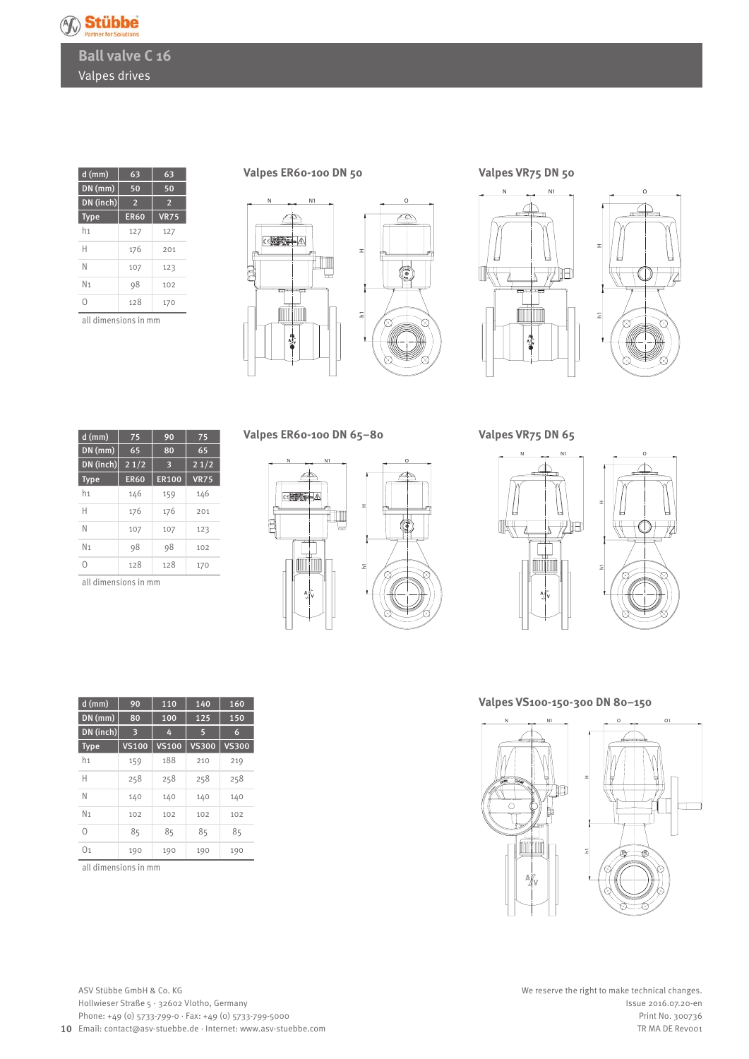

**Ball valve C 16** Valpes drives

| $d$ (mm)       | 63          | 63             |
|----------------|-------------|----------------|
| $DN$ (mm)      | 50          | 50             |
| DN (inch)      | 2           | $\overline{2}$ |
| <b>Type</b>    | <b>ER60</b> | <b>VR75</b>    |
| h1             | 127         | 127            |
| Н              | 176         | 201            |
| N              | 107         | 123            |
| N <sub>1</sub> | 98          | 102            |
| Ω              | 128         | 170            |
|                |             |                |

all dimensions in mm

**Valpes ER60-100 DN 50**





**Valpes VR75 DN 50**





**Valpes VR75 DN 65**

| $d$ (mm)       | 75          | 90           | 75          |
|----------------|-------------|--------------|-------------|
| $DN$ (mm)      | 65          | 80           | 65          |
| DN (inch)      | 21/2        | З            | 21/2        |
| <b>Type</b>    | <b>ER60</b> | <b>ER100</b> | <b>VR75</b> |
| h1             | 146         | 159          | 146         |
| Н              | 176         | 176          | 201         |
| N              | 107         | 107          | 123         |
| N <sub>1</sub> | 98          | 98           | 102         |
| Ω              | 128         | 128          | 170         |

 $d (mm)$  90 110 140 160 DN (mm) 80 100 125 150 DN (inch) 3 4 5 6 Type VS100 VS100 VS300 VS300 h1 159 188 210 219 H 258 258 258 258 N 140 140 140 140 N<sub>1</sub> 102 102 102 102 0 85 85 85 85 01 190 190 190 190

all dimensions in mm

all dimensions in mm

**Valpes ER60-100 DN 65–80**







**Valpes VS100-150-300 DN 80–150**

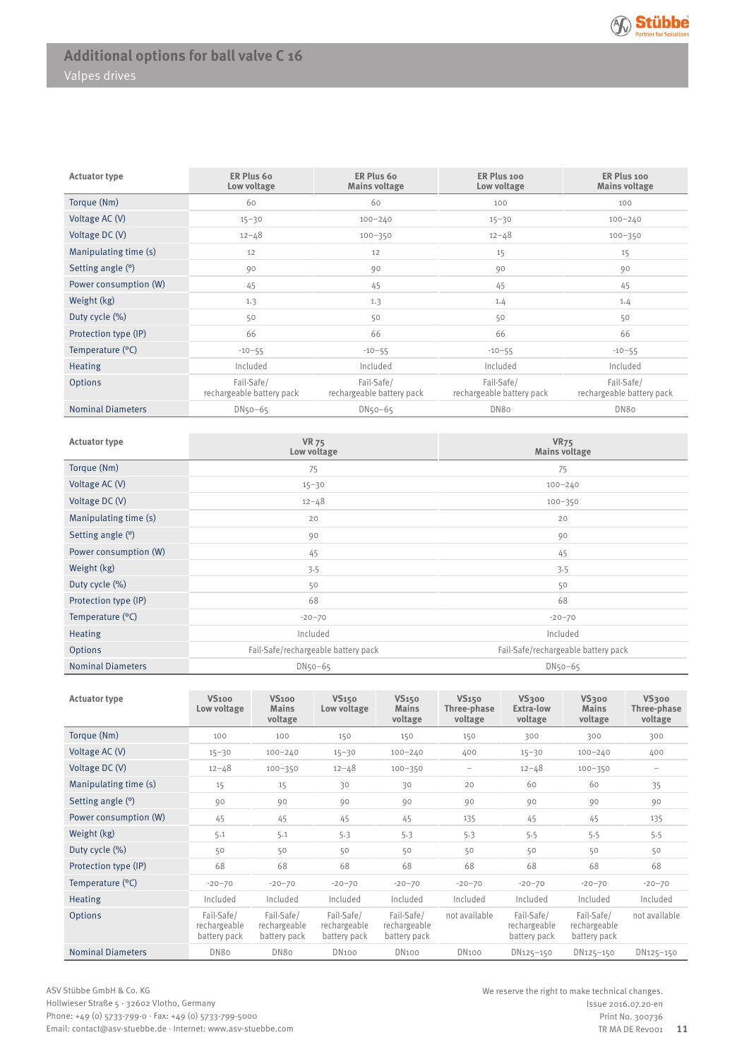| <b>Actuator type</b>     | ER Plus 60<br>Low voltage               | ER Plus 60<br><b>Mains voltage</b>      | ER Plus 100<br>Low voltage              | ER Plus 100<br><b>Mains voltage</b>     |
|--------------------------|-----------------------------------------|-----------------------------------------|-----------------------------------------|-----------------------------------------|
| Torque (Nm)              | 60                                      | 60                                      | 100                                     | 100                                     |
| Voltage AC (V)           | $15 - 30$                               | $100 - 240$                             | $15 - 30$                               | $100 - 240$                             |
| Voltage DC (V)           | $12 - 48$                               | $100 - 350$                             | $12 - 48$                               | $100 - 350$                             |
| Manipulating time (s)    | 12                                      | 12                                      | 15                                      | 15                                      |
| Setting angle (°)        | 90                                      | 90                                      | 90                                      | 90                                      |
| Power consumption (W)    | 45                                      | 45                                      | 45                                      | 45                                      |
| Weight (kg)              | 1.3                                     | 1.3                                     | 1.4                                     | 1.4                                     |
| Duty cycle (%)           | 50                                      | 50                                      | 50                                      | 50                                      |
| Protection type (IP)     | 66                                      | 66                                      | 66                                      | 66                                      |
| Temperature (°C)         | $-10-55$                                | $-10-55$                                | $-10-55$                                | $-10-55$                                |
| <b>Heating</b>           | Included                                | Included                                | Included                                | Included                                |
| <b>Options</b>           | Fail-Safe/<br>rechargeable battery pack | Fail-Safe/<br>rechargeable battery pack | Fail-Safe/<br>rechargeable battery pack | Fail-Safe/<br>rechargeable battery pack |
| <b>Nominal Diameters</b> | $DN50-65$                               | $DN50-65$                               | DN80                                    | DN80                                    |

| <b>Actuator type</b>     | <b>VR 75</b><br>Low voltage         | <b>VR75</b><br><b>Mains voltage</b> |
|--------------------------|-------------------------------------|-------------------------------------|
| Torque (Nm)              | 75                                  | 75                                  |
| Voltage AC (V)           | $15 - 30$                           | $100 - 240$                         |
| Voltage DC (V)           | $12 - 48$                           | $100 - 350$                         |
| Manipulating time (s)    | 20                                  | 20                                  |
| Setting angle (°)        | 90                                  | 90                                  |
| Power consumption (W)    | 45                                  | 45                                  |
| Weight (kg)              | 3.5                                 | 3.5                                 |
| Duty cycle (%)           | 50                                  | 50                                  |
| Protection type (IP)     | 68                                  | 68                                  |
| Temperature $(°C)$       | $-20 - 70$                          | $-20-70$                            |
| <b>Heating</b>           | Included                            | Included                            |
| Options                  | Fail-Safe/rechargeable battery pack | Fail-Safe/rechargeable battery pack |
| <b>Nominal Diameters</b> | $DN50-65$                           | $DN50-65$                           |

| <b>Actuator type</b>     | <b>VS100</b><br>Low voltage                | <b>VS100</b><br><b>Mains</b><br>voltage    | <b>VS150</b><br>Low voltage                | <b>VS150</b><br><b>Mains</b><br>voltage    | <b>VS150</b><br>Three-phase<br>voltage | <b>VS300</b><br>Extra-low<br>voltage       | <b>VS300</b><br><b>Mains</b><br>voltage    | <b>VS300</b><br>Three-phase<br>voltage |
|--------------------------|--------------------------------------------|--------------------------------------------|--------------------------------------------|--------------------------------------------|----------------------------------------|--------------------------------------------|--------------------------------------------|----------------------------------------|
| Torque (Nm)              | 100                                        | 100                                        | 150                                        | 150                                        | 150                                    | 300                                        | 300                                        | 300                                    |
| Voltage AC (V)           | $15 - 30$                                  | $100 - 240$                                | $15 - 30$                                  | $100 - 240$                                | 400                                    | $15 - 30$                                  | $100 - 240$                                | 400                                    |
| Voltage $DC(V)$          | $12 - 48$                                  | $100 - 350$                                | $12 - 48$                                  | $100 - 350$                                | $\qquad \qquad -$                      | $12 - 48$                                  | $100 - 350$                                | $-$                                    |
| Manipulating time (s)    | 15                                         | 15                                         | 30                                         | 30                                         | 20                                     | 60                                         | 60                                         | 35                                     |
| Setting angle (°)        | 90                                         | 90                                         | 90                                         | 90                                         | 90                                     | 90                                         | 90                                         | 90                                     |
| Power consumption (W)    | 45                                         | 45                                         | 45                                         | 45                                         | 135                                    | 45                                         | 45                                         | 135                                    |
| Weight (kg)              | 5.1                                        | 5.1                                        | 5.3                                        | 5.3                                        | 5.3                                    | 5.5                                        | 5.5                                        | 5.5                                    |
| Duty cycle (%)           | 50                                         | 50                                         | 50                                         | 50                                         | 50                                     | 50                                         | 50                                         | 50                                     |
| Protection type (IP)     | 68                                         | 68                                         | 68                                         | 68                                         | 68                                     | 68                                         | 68                                         | 68                                     |
| Temperature (°C)         | $-20 - 70$                                 | $-20 - 70$                                 | $-20 - 70$                                 | $-20 - 70$                                 | $-20 - 70$                             | $-20 - 70$                                 | $-20 - 70$                                 | $-20 - 70$                             |
| <b>Heating</b>           | Included                                   | Included                                   | Included                                   | Included                                   | Included                               | Included                                   | Included                                   | Included                               |
| Options                  | Fail-Safe/<br>rechargeable<br>battery pack | Fail-Safe/<br>rechargeable<br>battery pack | Fail-Safe/<br>rechargeable<br>battery pack | Fail-Safe/<br>rechargeable<br>battery pack | not available                          | Fail-Safe/<br>rechargeable<br>battery pack | Fail-Safe/<br>rechargeable<br>battery pack | not available                          |
| <b>Nominal Diameters</b> | DN8o                                       | DN8o                                       | <b>DN100</b>                               | <b>DN100</b>                               | <b>DN100</b>                           | DN125-150                                  | DN125-150                                  | DN125-150                              |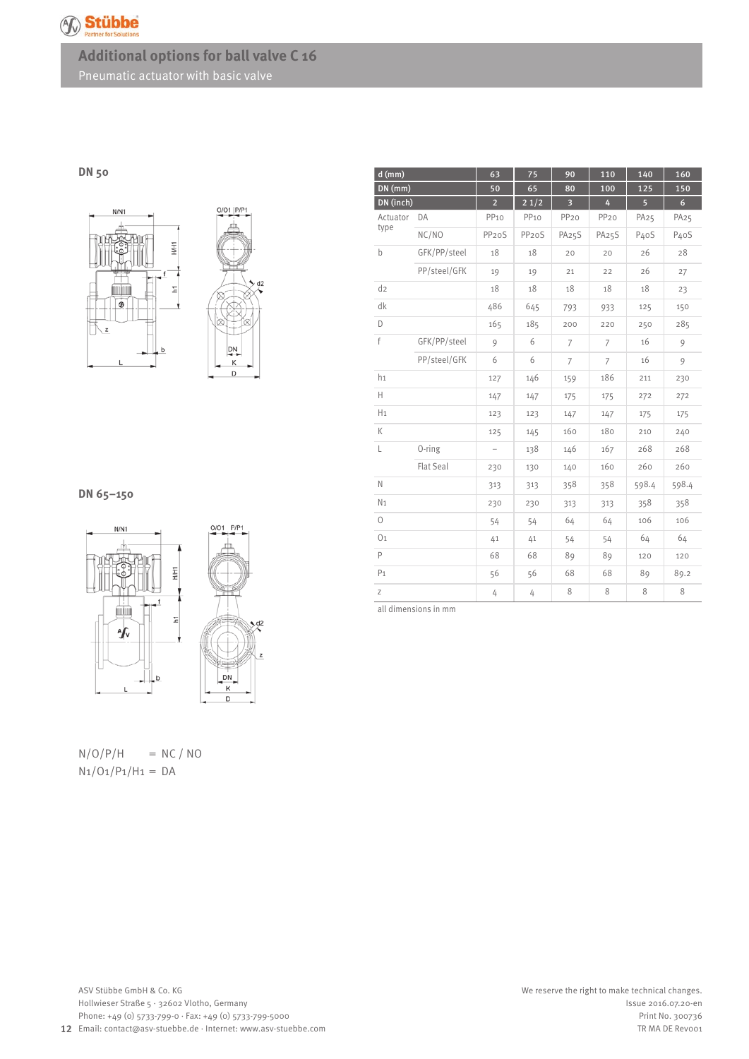

## **DN 50**



## **DN 65–150**



 $N/O/P/H$  = NC/NO  $N_1/O_1/P_1/H_1 = DA$ 

| $d$ (mm)       |              | 63                       | 75                 | 90                      | 110              | 140              | 160               |
|----------------|--------------|--------------------------|--------------------|-------------------------|------------------|------------------|-------------------|
| $DN$ (mm)      |              | 50                       | 65                 | 80                      | 100              | 125              | 150               |
| DN (inch)      |              | $\overline{2}$           | 21/2               | $\overline{\mathbf{3}}$ | 4                | $\overline{5}$   | $6\overline{6}$   |
| Actuator       | DA           | PP <sub>10</sub>         | PP <sub>10</sub>   | PP <sub>20</sub>        | PP <sub>20</sub> | PA <sub>25</sub> | PA <sub>25</sub>  |
| type           | NC/NO        | PP <sub>20</sub> S       | PP <sub>20</sub> S | PA25S                   | PA25S            | P40S             | P <sub>4</sub> oS |
| b              | GFK/PP/steel | 18                       | 18                 | 20                      | 20               | 26               | 28                |
|                | PP/steel/GFK | 19                       | 19                 | 21                      | 22               | 26               | 27                |
| $d_{2}$        |              | 18                       | 18                 | 18                      | 18               | 18               | 23                |
| dk             |              | 486                      | 645                | 793                     | 933              | 125              | 150               |
| D              |              | 165                      | 185                | 200                     | 220              | 250              | 285               |
| f              | GFK/PP/steel | 9                        | 6                  | $\overline{7}$          | 7                | 16               | 9                 |
|                | PP/steel/GFK | 6                        | 6                  | $\overline{7}$          | $\overline{7}$   | 16               | 9                 |
| $h_1$          |              | 127                      | 146                | 159                     | 186              | 211              | 230               |
| Н              |              | 147                      | 147                | 175                     | 175              | 272              | 272               |
| H <sub>1</sub> |              | 123                      | 123                | 147                     | 147              | 175              | 175               |
| К              |              | 125                      | 145                | 160                     | 180              | 210              | 240               |
| L              | $0$ -ring    | $\overline{\phantom{0}}$ | 138                | 146                     | 167              | 268              | 268               |
|                | Flat Seal    | 230                      | 130                | 140                     | 160              | 260              | 260               |
| N              |              | 313                      | 313                | 358                     | 358              | 598.4            | 598.4             |
| N <sub>1</sub> |              | 230                      | 230                | 313                     | 313              | 358              | 358               |
| $\Omega$       |              | 54                       | 54                 | 64                      | 64               | 106              | 106               |
| 0 <sub>1</sub> |              | 41                       | 41                 | 54                      | 54               | 64               | 64                |
| P              |              | 68                       | 68                 | 89                      | 89               | 120              | 120               |
| P <sub>1</sub> |              | 56                       | 56                 | 68                      | 68               | 89               | 89.2              |
| Ζ              |              | 4                        | 4                  | 8                       | $\,8\,$          | 8                | 8                 |

all dimensions in mm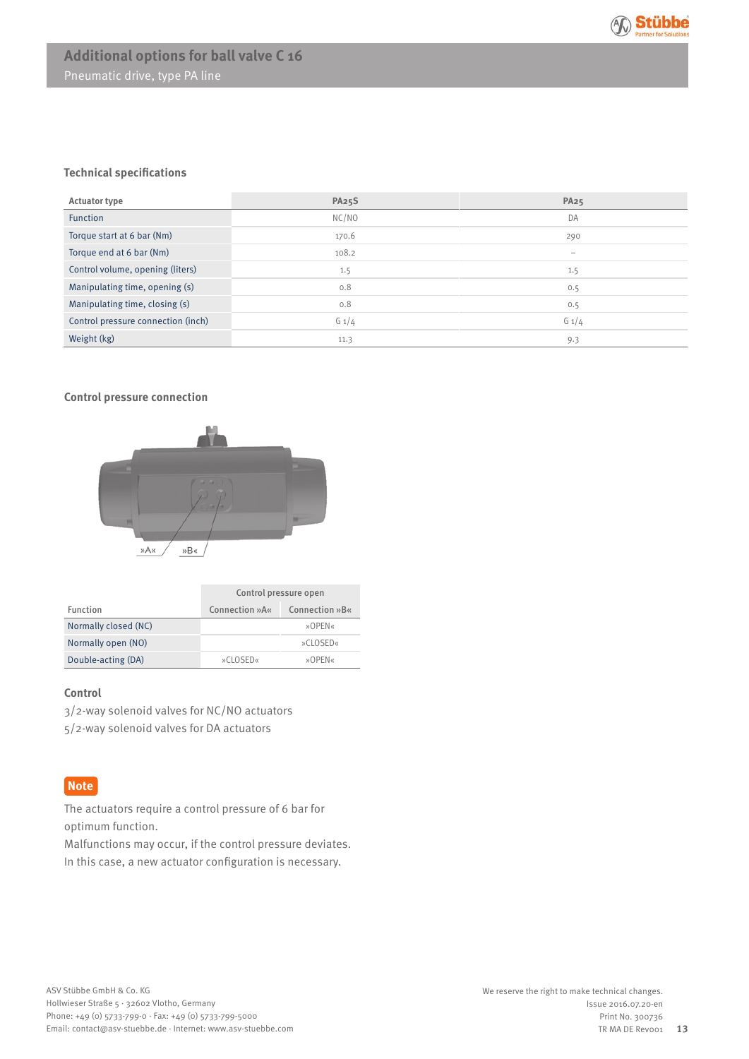

## **Technical specifications**

| <b>Actuator type</b>               | <b>PA25S</b> | <b>PA25</b>              |
|------------------------------------|--------------|--------------------------|
| <b>Function</b>                    | NC/NO        | DA                       |
| Torque start at 6 bar (Nm)         | 170.6        | 290                      |
| Torque end at 6 bar (Nm)           | 108.2        | $\overline{\phantom{0}}$ |
| Control volume, opening (liters)   | 1.5          | 1.5                      |
| Manipulating time, opening (s)     | 0.8          | 0.5                      |
| Manipulating time, closing (s)     | 0.8          | 0.5                      |
| Control pressure connection (inch) | $G_1/4$      | $G_1/4$                  |
| Weight (kg)                        | 11.3         | 9.3                      |

## **Control pressure connection**



|                      | Control pressure open |                |  |
|----------------------|-----------------------|----------------|--|
| Function             | Connection »A«        | Connection »B« |  |
| Normally closed (NC) |                       | »OPEN«         |  |
| Normally open (NO)   |                       | »CLOSED«       |  |
| Double-acting (DA)   | »CLOSED«              | »OPEN«         |  |

## **Control**

3/2-way solenoid valves for NC/NO actuators 5/2-way solenoid valves for DA actuators

## **Note**

The actuators require a control pressure of 6 bar for optimum function.

Malfunctions may occur, if the control pressure deviates. In this case, a new actuator configuration is necessary.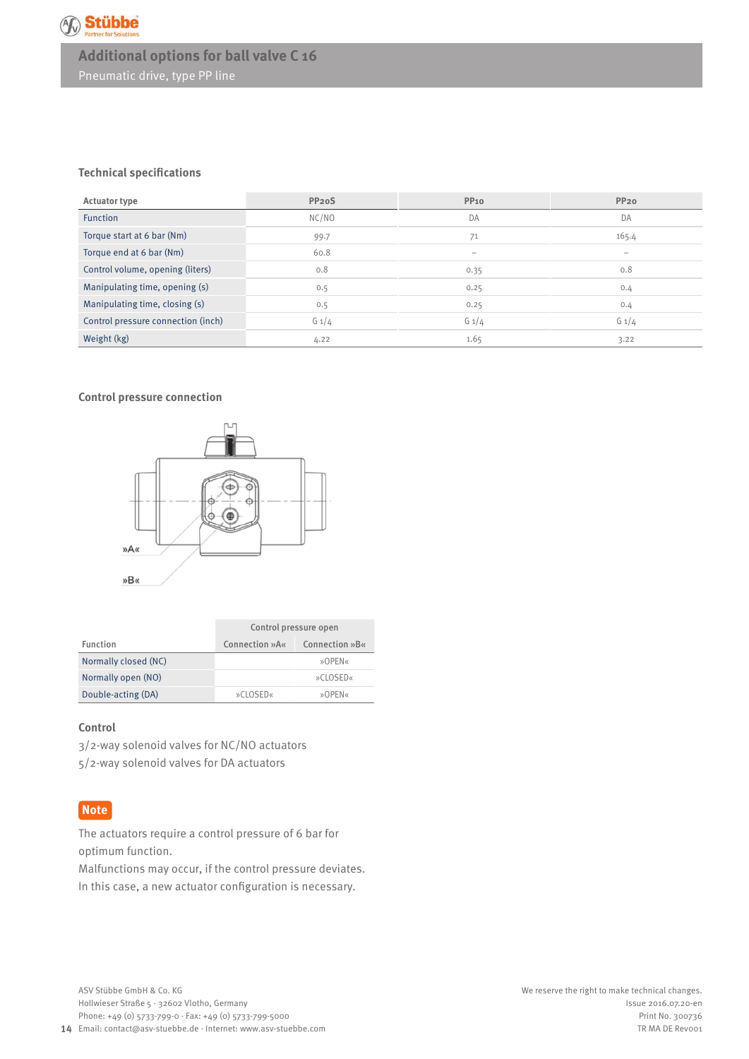

## **Technical specifications**

| <b>Actuator type</b>               | PP <sub>20</sub> S | <b>PP10</b>              | <b>PP20</b>              |
|------------------------------------|--------------------|--------------------------|--------------------------|
| <b>Function</b>                    | NC/NO              | DA                       | DA                       |
| Torque start at 6 bar (Nm)         | 99.7               | 71                       | 165.4                    |
| Torque end at 6 bar (Nm)           | 60.8               | $\overline{\phantom{0}}$ | $\overline{\phantom{a}}$ |
| Control volume, opening (liters)   | 0.8                | 0.35                     | 0.8                      |
| Manipulating time, opening (s)     | 0.5                | 0.25                     | 0.4                      |
| Manipulating time, closing (s)     | 0.5                | 0.25                     | 0.4                      |
| Control pressure connection (inch) | $G_1/4$            | $G_1/4$                  | $G_1/4$                  |
| Weight (kg)                        | 4.22               | 1.65                     | 3.22                     |

## **Control pressure connection**



|                      | Control pressure open |                |  |
|----------------------|-----------------------|----------------|--|
| Function             | Connection »A«        | Connection »B« |  |
| Normally closed (NC) |                       | »OPEN«         |  |
| Normally open (NO)   |                       | »CLOSED«       |  |
| Double-acting (DA)   | »CLOSED«              | »OPFN«         |  |

## **Control**

3/2-way solenoid valves for NC/NO actuators 5/2-way solenoid valves for DA actuators

## **Note**

The actuators require a control pressure of 6 bar for optimum function.

Malfunctions may occur, if the control pressure deviates. In this case, a new actuator configuration is necessary.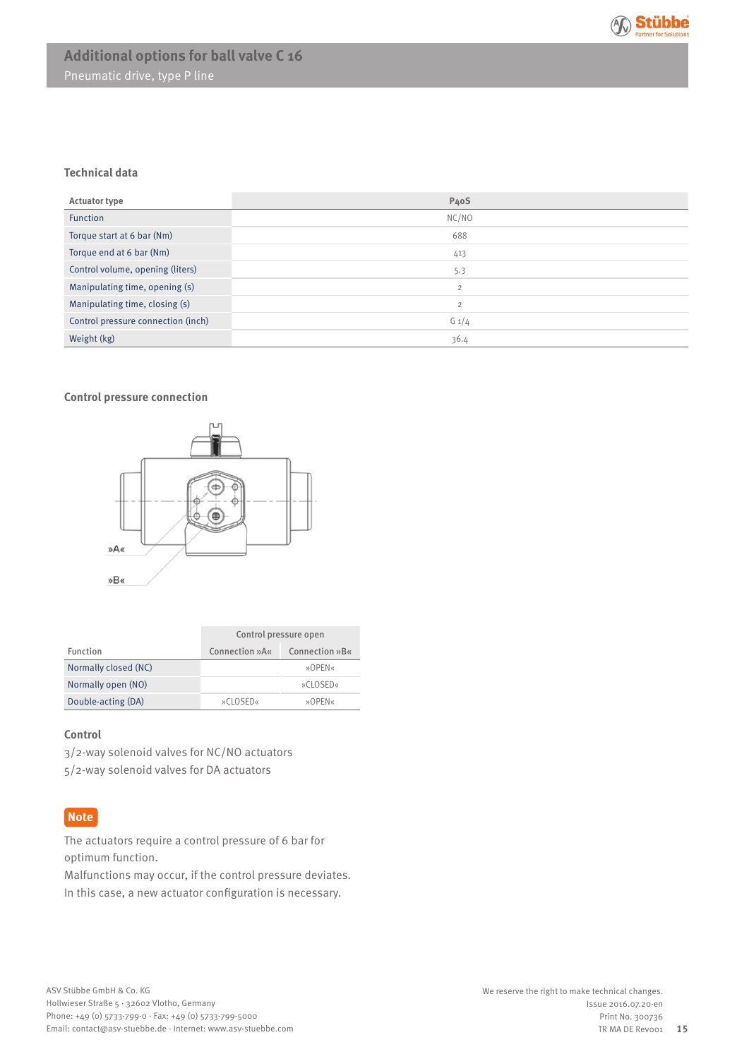

## **Technical data**

| <b>Actuator type</b>               | P <sub>4</sub> oS |
|------------------------------------|-------------------|
| <b>Function</b>                    | NC/NO             |
| Torque start at 6 bar (Nm)         | 688               |
| Torque end at 6 bar (Nm)           | 413               |
| Control volume, opening (liters)   | 5.3               |
| Manipulating time, opening (s)     | $\overline{2}$    |
| Manipulating time, closing (s)     | $\overline{2}$    |
| Control pressure connection (inch) | $G_1/4$           |
| Weight (kg)                        | 36.4              |

## **Control pressure connection**



|                      | Control pressure open |                |  |
|----------------------|-----------------------|----------------|--|
| Function             | Connection »A«        | Connection »B« |  |
| Normally closed (NC) |                       | »OPEN«         |  |
| Normally open (NO)   |                       | »CLOSED«       |  |
| Double-acting (DA)   | »CLOSED«              | »OPFN«         |  |

#### **Control**

3/2-way solenoid valves for NC/NO actuators 5/2-way solenoid valves for DA actuators

## **Note**

The actuators require a control pressure of 6 bar for optimum function.

Malfunctions may occur, if the control pressure deviates. In this case, a new actuator configuration is necessary.